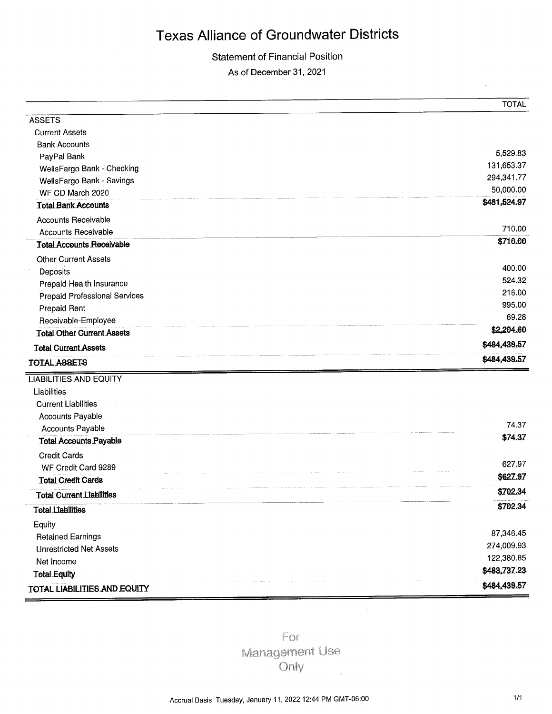**Statement of Financial Position** 

As of December 31, 2021

|                                      | <b>TOTAL</b>       |
|--------------------------------------|--------------------|
| <b>ASSETS</b>                        |                    |
| <b>Current Assets</b>                |                    |
| <b>Bank Accounts</b>                 |                    |
| PayPal Bank                          | 5,529.83           |
| WellsFargo Bank - Checking           | 131,653.37         |
| WellsFargo Bank - Savings            | 294,341.77         |
| WF CD March 2020                     | 50,000.00          |
| <b>Total Bank Accounts</b>           | \$481,524.97       |
| <b>Accounts Receivable</b>           |                    |
| <b>Accounts Receivable</b>           | 710.00             |
| <b>Total Accounts Receivable</b>     | \$710.00           |
| <b>Other Current Assets</b>          |                    |
| Deposits                             | 400.00             |
| Prepaid Health Insurance             | 524.32             |
| <b>Prepaid Professional Services</b> | 216.00             |
| Prepaid Rent                         | 995.00<br>69.28    |
| Receivable-Employee                  |                    |
| <b>Total Other Current Assets</b>    | \$2,204.60         |
| <b>Total Current Assets</b>          | \$484,439.57       |
| <b>TOTAL ASSETS</b>                  | \$484,439.57       |
| <b>LIABILITIES AND EQUITY</b>        |                    |
| Liabilities                          |                    |
| <b>Current Liabilities</b>           |                    |
| <b>Accounts Payable</b>              |                    |
| Accounts Payable                     | 74.37              |
| <b>Tetal Accounts Payable</b>        | \$74.37            |
| <b>Credit Cards</b>                  |                    |
| WF Credit Card 9289                  | 627.97<br>\$627.97 |
| <b>Total Credit Cards</b>            |                    |
| <b>Total Current Liabilities</b>     | \$702.34           |
| <b>Total Liabilities</b>             | \$702.34           |
| Equity                               |                    |
| <b>Retained Earnings</b>             | 87,346.45          |
| <b>Unrestricted Net Assets</b>       | 274,009.93         |
| Net Income                           | 122,380.85         |
| <b>Total Equity</b>                  | \$483,737.23       |
| TOTAL LIABILITIES AND EQUITY         | \$484,439.57       |

For Management Use Only

 $\bar{z}$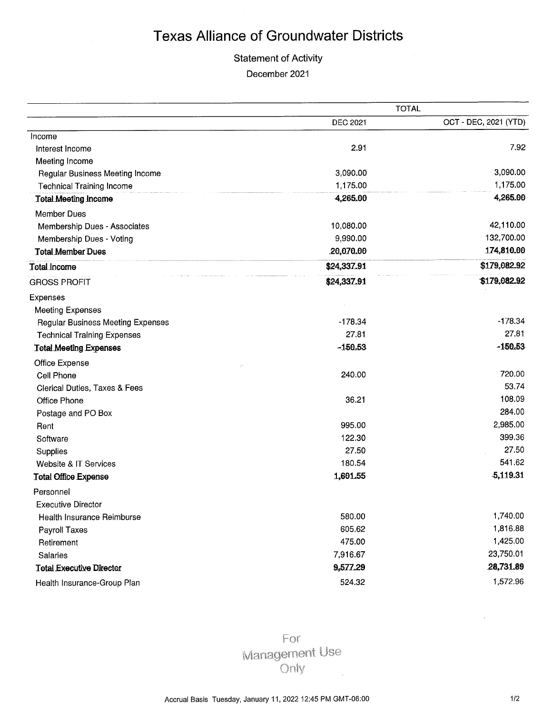### **Statement of Activity**

December 2021

|                                    |                 | <b>TOTAL</b>          |
|------------------------------------|-----------------|-----------------------|
|                                    | <b>DEC 2021</b> | OCT - DEC, 2021 (YTD) |
| Income                             |                 |                       |
| Interest Income                    | 2.91            | 7.92                  |
| Meeting Income                     |                 |                       |
| Regular Business Meeting Income    | 3,090.00        | 3,090.00              |
| <b>Technical Training Income</b>   | 1,175.00        | 1,175.00              |
| <b>Total Meeting Income</b>        | 4,265.00        | 4,265.00              |
| <b>Member Dues</b>                 |                 |                       |
| Membership Dues - Associates       | 10,080.00       | 42,110.00             |
| Membership Dues - Voting           | 9,990.00        | 132,700.00            |
| <b>Total Member Dues</b>           | 20,070.00       | 174,810.00            |
| Total Income                       | \$24,337.91     | \$179,082.92          |
| <b>GROSS PROFIT</b>                | \$24,337.91     | \$179,082.92          |
| Expenses                           |                 |                       |
| <b>Meeting Expenses</b>            |                 |                       |
| Regular Business Meeting Expenses  | $-178.34$       | $-178.34$             |
| <b>Technical Training Expenses</b> | 27.81           | 27.81                 |
| <b>Total Meeting Expenses</b>      | $-150.53$       | $-150.53$             |
| Office Expense                     |                 |                       |
| Cell Phone                         | 240.00          | 720.00                |
| Clerical Duties, Taxes & Fees      |                 | 53.74                 |
| Office Phone                       | 36,21           | 108.09                |
| Postage and PO Box                 |                 | 284.00                |
| Rent                               | 995.00          | 2,985.00              |
| Software                           | 122.30          | 399.36                |
| Supplies                           | 27.50           | 27.50                 |
| Website & IT Services              | 180.54          | 541.62                |
| <b>Total Office Expense</b>        | 1,601.55        | 5,119.31              |
| Personnel                          |                 |                       |
| <b>Executive Director</b>          |                 |                       |
| Health Insurance Reimburse         | 580.00          | 1,740.00              |
| <b>Payroll Taxes</b>               | 605.62          | 1,816.88              |
| Retirement                         | 475.00          | 1,425.00              |
| Salaries                           | 7,916.67        | 23,750.01             |
| <b>Total Executive Director</b>    | 9,577.29        | 28,731.89             |
| Health Insurance-Group Plan        | 524.32          | 1,572.96              |

For **Management Use** Only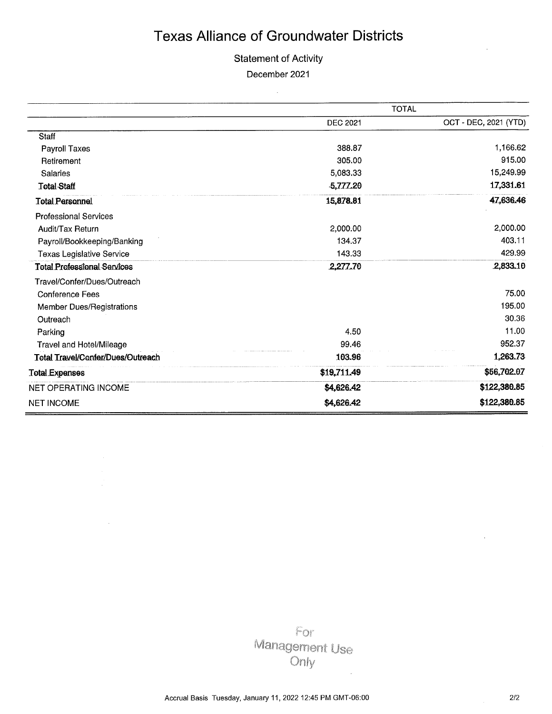### **Statement of Activity**

December 2021

 $\sim 10$ 

|                                    |                 | <b>TOTAL</b>          |
|------------------------------------|-----------------|-----------------------|
|                                    | <b>DEC 2021</b> | OCT - DEC, 2021 (YTD) |
| Staff                              |                 |                       |
| Payroll Taxes                      | 388.87          | 1,166.62              |
| Retirement                         | 305.00          | 915.00                |
| <b>Salaries</b>                    | 5,083.33        | 15,249.99             |
| <b>Total Staff</b>                 | $-5,777.20$     | 17,331.61             |
| <b>Total Personnel</b>             | 15,878.81       | 47,636.46             |
| <b>Professional Services</b>       |                 |                       |
| Audit/Tax Return                   | 2,000.00        | 2,000.00              |
| Payroll/Bookkeeping/Banking        | 134.37          | 403.11                |
| <b>Texas Legislative Service</b>   | 143.33          | 429.99                |
| <b>Total Professional Services</b> | 2,277.70        | 2,833.10              |
| Travel/Confer/Dues/Outreach        |                 |                       |
| <b>Conference Fees</b>             |                 | 75.00                 |
| Member Dues/Registrations          |                 | 195.00                |
| Outreach                           |                 | 30.36                 |
| Parking                            | 4.50            | 11.00                 |
| <b>Travel and Hotel/Mileage</b>    | 99.46           | 952.37                |
| Total Travel/Confer/Dues/Outreach  | 103.96          | 1,263.73              |
| <b>Total Expenses</b>              | \$19,711.49     | \$56,702.07           |
| <b>NET OPERATING INCOME</b>        | \$4,626.42      | \$122,380.85          |
| <b>NET INCOME</b>                  | \$4,626.42      | \$122,380.85          |

For Management Use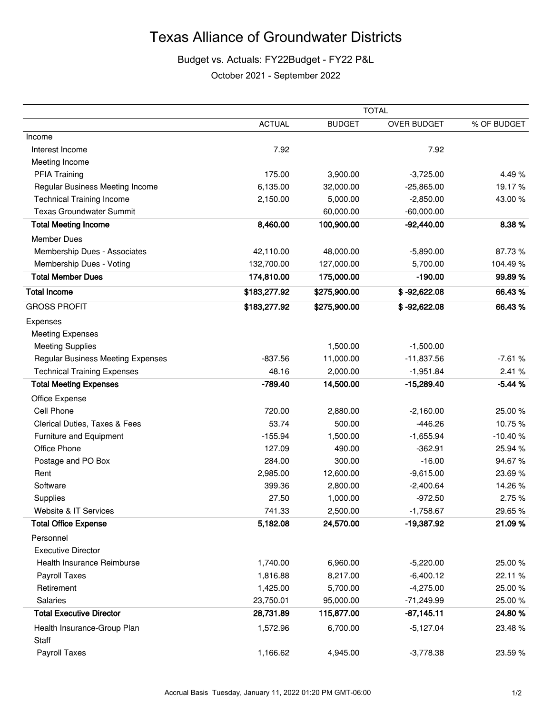### Budget vs. Actuals: FY22Budget - FY22 P&L

October 2021 - September 2022

|                                          |               |               | <b>TOTAL</b>       |             |
|------------------------------------------|---------------|---------------|--------------------|-------------|
|                                          | <b>ACTUAL</b> | <b>BUDGET</b> | <b>OVER BUDGET</b> | % OF BUDGET |
| Income                                   |               |               |                    |             |
| Interest Income                          | 7.92          |               | 7.92               |             |
| Meeting Income                           |               |               |                    |             |
| <b>PFIA Training</b>                     | 175.00        | 3,900.00      | $-3,725.00$        | 4.49%       |
| Regular Business Meeting Income          | 6,135.00      | 32,000.00     | $-25,865.00$       | 19.17%      |
| <b>Technical Training Income</b>         | 2,150.00      | 5,000.00      | $-2,850.00$        | 43.00%      |
| <b>Texas Groundwater Summit</b>          |               | 60,000.00     | $-60,000.00$       |             |
| <b>Total Meeting Income</b>              | 8,460.00      | 100,900.00    | $-92,440.00$       | 8.38%       |
| <b>Member Dues</b>                       |               |               |                    |             |
| Membership Dues - Associates             | 42,110.00     | 48,000.00     | $-5,890.00$        | 87.73%      |
| Membership Dues - Voting                 | 132,700.00    | 127,000.00    | 5,700.00           | 104.49%     |
| <b>Total Member Dues</b>                 | 174,810.00    | 175,000.00    | $-190.00$          | 99.89%      |
| <b>Total Income</b>                      | \$183,277.92  | \$275,900.00  | $$ -92,622.08$     | 66.43%      |
| <b>GROSS PROFIT</b>                      | \$183,277.92  | \$275,900.00  | $$ -92,622.08$     | 66.43%      |
| Expenses                                 |               |               |                    |             |
| <b>Meeting Expenses</b>                  |               |               |                    |             |
| <b>Meeting Supplies</b>                  |               | 1,500.00      | $-1,500.00$        |             |
| <b>Regular Business Meeting Expenses</b> | $-837.56$     | 11,000.00     | $-11,837.56$       | $-7.61%$    |
| <b>Technical Training Expenses</b>       | 48.16         | 2,000.00      | $-1,951.84$        | 2.41 %      |
| <b>Total Meeting Expenses</b>            | $-789.40$     | 14,500.00     | $-15,289.40$       | $-5.44%$    |
| Office Expense                           |               |               |                    |             |
| Cell Phone                               | 720.00        | 2,880.00      | $-2,160.00$        | 25.00%      |
| Clerical Duties, Taxes & Fees            | 53.74         | 500.00        | $-446.26$          | 10.75%      |
| Furniture and Equipment                  | $-155.94$     | 1,500.00      | $-1,655.94$        | $-10.40%$   |
| Office Phone                             | 127.09        | 490.00        | $-362.91$          | 25.94 %     |
| Postage and PO Box                       | 284.00        | 300.00        | $-16.00$           | 94.67%      |
| Rent                                     | 2,985.00      | 12,600.00     | $-9,615.00$        | 23.69%      |
| Software                                 | 399.36        | 2,800.00      | $-2,400.64$        | 14.26%      |
| Supplies                                 | 27.50         | 1,000.00      | $-972.50$          | 2.75%       |
| Website & IT Services                    | 741.33        | 2,500.00      | $-1,758.67$        | 29.65%      |
| <b>Total Office Expense</b>              | 5,182.08      | 24,570.00     | $-19,387.92$       | 21.09%      |
| Personnel                                |               |               |                    |             |
| <b>Executive Director</b>                |               |               |                    |             |
| Health Insurance Reimburse               | 1,740.00      | 6,960.00      | $-5,220.00$        | 25.00%      |
| Payroll Taxes                            | 1,816.88      | 8,217.00      | $-6,400.12$        | 22.11 %     |
| Retirement                               | 1,425.00      | 5,700.00      | $-4,275.00$        | 25.00 %     |
| Salaries                                 | 23,750.01     | 95,000.00     | -71,249.99         | 25.00 %     |
| <b>Total Executive Director</b>          | 28,731.89     | 115,877.00    | $-87,145.11$       | 24.80%      |
| Health Insurance-Group Plan<br>Staff     | 1,572.96      | 6,700.00      | $-5,127.04$        | 23.48%      |
| Payroll Taxes                            | 1,166.62      | 4,945.00      | $-3,778.38$        | 23.59%      |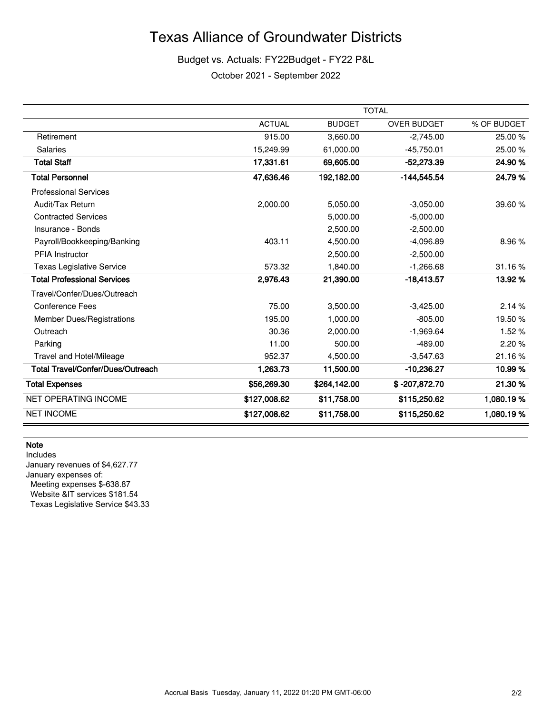### Budget vs. Actuals: FY22Budget - FY22 P&L

October 2021 - September 2022

|                                          |               |               | <b>TOTAL</b>       |             |
|------------------------------------------|---------------|---------------|--------------------|-------------|
|                                          | <b>ACTUAL</b> | <b>BUDGET</b> | <b>OVER BUDGET</b> | % OF BUDGET |
| Retirement                               | 915.00        | 3,660.00      | $-2,745.00$        | 25.00 %     |
| <b>Salaries</b>                          | 15,249.99     | 61,000.00     | $-45,750.01$       | 25.00%      |
| <b>Total Staff</b>                       | 17,331.61     | 69,605.00     | $-52,273.39$       | 24.90%      |
| <b>Total Personnel</b>                   | 47,636.46     | 192,182.00    | -144,545.54        | 24.79%      |
| <b>Professional Services</b>             |               |               |                    |             |
| Audit/Tax Return                         | 2,000.00      | 5,050.00      | $-3,050.00$        | 39.60 %     |
| <b>Contracted Services</b>               |               | 5,000.00      | $-5,000.00$        |             |
| Insurance - Bonds                        |               | 2,500.00      | $-2,500.00$        |             |
| Payroll/Bookkeeping/Banking              | 403.11        | 4,500.00      | $-4,096.89$        | 8.96%       |
| <b>PFIA</b> Instructor                   |               | 2,500.00      | $-2,500.00$        |             |
| <b>Texas Legislative Service</b>         | 573.32        | 1,840.00      | $-1,266.68$        | 31.16%      |
| <b>Total Professional Services</b>       | 2.976.43      | 21,390.00     | $-18,413.57$       | 13.92 %     |
| Travel/Confer/Dues/Outreach              |               |               |                    |             |
| <b>Conference Fees</b>                   | 75.00         | 3,500.00      | $-3,425.00$        | 2.14%       |
| Member Dues/Registrations                | 195.00        | 1,000.00      | $-805.00$          | 19.50 %     |
| Outreach                                 | 30.36         | 2,000.00      | $-1,969.64$        | 1.52%       |
| Parking                                  | 11.00         | 500.00        | $-489.00$          | 2.20%       |
| Travel and Hotel/Mileage                 | 952.37        | 4,500.00      | $-3,547.63$        | 21.16%      |
| <b>Total Travel/Confer/Dues/Outreach</b> | 1,263.73      | 11,500.00     | $-10,236.27$       | 10.99%      |
| <b>Total Expenses</b>                    | \$56,269.30   | \$264,142.00  | \$-207,872.70      | 21.30%      |
| <b>NET OPERATING INCOME</b>              | \$127,008.62  | \$11,758.00   | \$115,250.62       | 1,080.19%   |
| <b>NET INCOME</b>                        | \$127,008.62  | \$11,758.00   | \$115,250.62       | 1,080.19%   |

#### **Note**

Includes January revenues of \$4,627.77 January expenses of: Meeting expenses \$-638.87 Website &IT services \$181.54 Texas Legislative Service \$43.33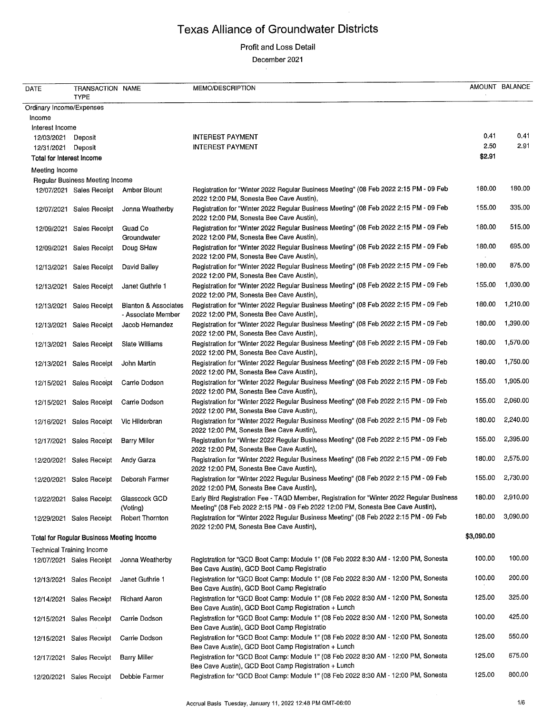#### Profit and Loss Detail

December 2021

 $\mathcal{L}$ 

| DATE                      | TRANSACTION NAME<br><b>TYPE</b>                  |                                                       | MEMO/DESCRIPTION                                                                                                                                                             |            | AMOUNT BALANCE |
|---------------------------|--------------------------------------------------|-------------------------------------------------------|------------------------------------------------------------------------------------------------------------------------------------------------------------------------------|------------|----------------|
| Ordinary Income/Expenses  |                                                  |                                                       |                                                                                                                                                                              |            |                |
| Income                    |                                                  |                                                       |                                                                                                                                                                              |            |                |
| Interest Income           |                                                  |                                                       |                                                                                                                                                                              |            |                |
| 12/03/2021                | Deposit                                          |                                                       | <b>INTEREST PAYMENT</b>                                                                                                                                                      | 0.41       | 0.41           |
| 12/31/2021                | Deposit                                          |                                                       | <b>INTEREST PAYMENT</b>                                                                                                                                                      | 2.50       | 2.91           |
| Total for Interest Income |                                                  |                                                       |                                                                                                                                                                              | \$2.91     |                |
|                           |                                                  |                                                       |                                                                                                                                                                              |            |                |
| Meeting Income            |                                                  |                                                       |                                                                                                                                                                              |            |                |
|                           | Regular Business Meeting Income                  |                                                       |                                                                                                                                                                              | 180.00     | 180.00         |
|                           | 12/07/2021 Sales Receipt                         | Amber Blount                                          | Registration for "Winter 2022 Regular Business Meeting" (08 Feb 2022 2:15 PM - 09 Feb<br>2022 12:00 PM, Sonesta Bee Cave Austin),                                            |            |                |
|                           | 12/07/2021 Sales Receipt                         | Jonna Weatherby                                       | Registration for "Winter 2022 Regular Business Meeting" (08 Feb 2022 2:15 PM - 09 Feb<br>2022 12:00 PM, Sonesta Bee Cave Austin),                                            | 155.00     | 335.00         |
|                           | 12/09/2021 Sales Receipt                         | Guad Co<br>Groundwater                                | Registration for "Winter 2022 Regular Business Meeting" (08 Feb 2022 2:15 PM - 09 Feb<br>2022 12:00 PM, Sonesta Bee Cave Austin),                                            | 180.00     | 515.00         |
|                           | 12/09/2021 Sales Receipt                         | Doug SHaw                                             | Registration for "Winter 2022 Regular Business Meeting" (08 Feb 2022 2:15 PM - 09 Feb<br>2022 12:00 PM, Sonesta Bee Cave Austin),                                            | 180.00     | 695.00         |
|                           | 12/13/2021 Sales Receipt                         | David Bailey                                          | Registration for "Winter 2022 Regular Business Meeting" (08 Feb 2022 2:15 PM - 09 Feb<br>2022 12:00 PM, Sonesta Bee Cave Austin),                                            | 180.00     | 875.00         |
| 12/13/2021                | <b>Sales Receipt</b>                             | Janet Guthrie 1                                       | Registration for "Winter 2022 Regular Business Meeting" (08 Feb 2022 2:15 PM - 09 Feb<br>2022 12:00 PM, Sonesta Bee Cave Austin),                                            | 155.00     | 1,030.00       |
|                           | 12/13/2021 Sales Receipt                         | <b>Blanton &amp; Associates</b><br>- Associate Member | Registration for "Winter 2022 Regular Business Meeting" (08 Feb 2022 2:15 PM - 09 Feb<br>2022 12:00 PM, Sonesta Bee Cave Austin),                                            | 180.00     | 1,210.00       |
|                           | 12/13/2021 Sales Receipt                         | Jacob Hernandez                                       | Registration for "Winter 2022 Regular Business Meeting" (08 Feb 2022 2:15 PM - 09 Feb<br>2022 12:00 PM, Sonesta Bee Cave Austin),                                            | 180.00     | 1.390.00       |
|                           | 12/13/2021 Sales Receipt                         | Slate Williams                                        | Registration for "Winter 2022 Regular Business Meeting" (08 Feb 2022 2:15 PM - 09 Feb<br>2022 12:00 PM, Sonesta Bee Cave Austin),                                            | 180.00     | 1,570.00       |
|                           | 12/13/2021 Sales Receipt                         | John Martin                                           | Registration for "Winter 2022 Regular Business Meeting" (08 Feb 2022 2:15 PM - 09 Feb<br>2022 12:00 PM, Sonesta Bee Cave Austin),                                            | 180.00     | 1,750.00       |
|                           | 12/15/2021 Sales Receipt                         | Carrie Dodson                                         | Registration for "Winter 2022 Regular Business Meeting" (08 Feb 2022 2:15 PM - 09 Feb<br>2022 12:00 PM, Sonesta Bee Cave Austin),                                            | 155.00     | 1,905.00       |
| 12/15/2021                | Sales Receipt                                    | Carrie Dodson                                         | Registration for "Winter 2022 Regular Business Meeting" (08 Feb 2022 2:15 PM - 09 Feb<br>2022 12:00 PM, Sonesta Bee Cave Austin),                                            | 155.00     | 2,060.00       |
|                           | 12/16/2021 Sales Receipt                         | Vic Hilderbran                                        | Registration for "Winter 2022 Regular Business Meeting" (08 Feb 2022 2:15 PM - 09 Feb<br>2022 12:00 PM, Sonesta Bee Cave Austin),                                            | 180.00     | 2,240.00       |
|                           | 12/17/2021 Sales Receipt                         | Barry Miller                                          | Registration for "Winter 2022 Regular Business Meeting" (08 Feb 2022 2:15 PM - 09 Feb<br>2022 12:00 PM, Sonesta Bee Cave Austin),                                            | 155.00     | 2,395.00       |
|                           | 12/20/2021 Sales Receipt                         | Andy Garza                                            | Registration for "Winter 2022 Regular Business Meeting" (08 Feb 2022 2:15 PM - 09 Feb<br>2022 12:00 PM, Sonesta Bee Cave Austin),                                            | 180.00     | 2,575.00       |
|                           | 12/20/2021 Sales Receipt                         | Deborah Farmer                                        | Registration for "Winter 2022 Regular Business Meeting" (08 Feb 2022 2:15 PM - 09 Feb<br>2022 12:00 PM, Sonesta Bee Cave Austin),                                            | 155.00     | 2,730.00       |
|                           | 12/22/2021 Sales Receipt                         | Glasscock GCD<br>(Voting)                             | Early Bird Registration Fee - TAGD Member, Registration for "Winter 2022 Regular Business<br>Meeting" (08 Feb 2022 2:15 PM - 09 Feb 2022 12:00 PM, Sonesta Bee Cave Austin), | 180.00     | 2,910.00       |
|                           | 12/29/2021 Sales Receipt                         | <b>Robert Thornton</b>                                | Registration for "Winter 2022 Regular Business Meeting" (08 Feb 2022 2:15 PM - 09 Feb<br>2022 12:00 PM, Sonesta Bee Cave Austin),                                            | 180.00     | 3,090.00       |
|                           | <b>Total for Regular Business Meeting Income</b> |                                                       |                                                                                                                                                                              | \$3,090.00 |                |
|                           | <b>Technical Training Income</b>                 |                                                       |                                                                                                                                                                              |            |                |
|                           | 12/07/2021 Sales Receipt                         | Jonna Weatherby                                       | Registration for "GCD Boot Camp: Module 1" (08 Feb 2022 8:30 AM - 12:00 PM, Sonesta<br>Bee Cave Austin), GCD Boot Camp Registratio                                           | 100.00     | 100.00         |
|                           | 12/13/2021 Sales Receipt                         | Janet Guthrie 1                                       | Registration for "GCD Boot Camp: Module 1" (08 Feb 2022 8:30 AM - 12:00 PM, Sonesta<br>Bee Cave Austin), GCD Boot Camp Registratio                                           | 100.00     | 200.00         |
| 12/14/2021                | Sales Receipt                                    | <b>Richard Aaron</b>                                  | Registration for "GCD Boot Camp: Module 1" (08 Feb 2022 8:30 AM - 12:00 PM, Sonesta<br>Bee Cave Austin), GCD Boot Camp Registration + Lunch                                  | 125.00     | 325.00         |
| 12/15/2021                | Sales Receipt                                    | Carrie Dodson                                         | Registration for "GCD Boot Camp: Module 1" (08 Feb 2022 8:30 AM - 12:00 PM, Sonesta<br>Bee Cave Austin), GCD Boot Camp Registratio                                           | 100.00     | 425.00         |
| 12/15/2021                | Sales Receipt                                    | Carrie Dodson                                         | Registration for "GCD Boot Camp: Module 1" (08 Feb 2022 8:30 AM - 12:00 PM, Sonesta<br>Bee Cave Austin), GCD Boot Camp Registration + Lunch                                  | 125.00     | 550.00         |
| 12/17/2021                | <b>Sales Receipt</b>                             | <b>Barry Miller</b>                                   | Registration for "GCD Boot Camp: Module 1" (08 Feb 2022 8:30 AM - 12:00 PM, Sonesta<br>Bee Cave Austin), GCD Boot Camp Registration + Lunch                                  | 125.00     | 675.00         |
| 12/20/2021                | Sales Receipt                                    | Debbie Farmer                                         | Registration for "GCD Boot Camp: Module 1" (08 Feb 2022 8:30 AM - 12:00 PM, Sonesta                                                                                          | 125.00     | 800.00         |

 $\mathcal{A}^{\mathcal{A}}$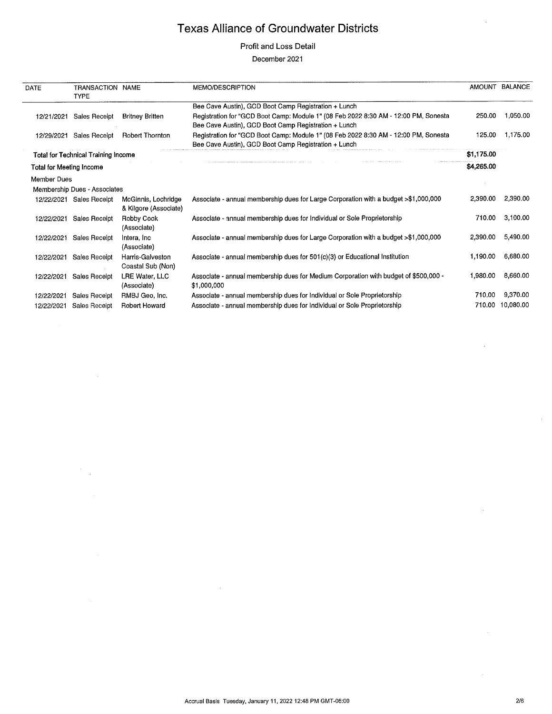#### Profit and Loss Detail

#### December 2021

| DATE                            | TRANSACTION NAME<br><b>TYPE</b>            |                                              | MEMO/DESCRIPTION                                                                                                                            |            | AMOUNT BALANCE   |
|---------------------------------|--------------------------------------------|----------------------------------------------|---------------------------------------------------------------------------------------------------------------------------------------------|------------|------------------|
|                                 |                                            |                                              | Bee Cave Austin), GCD Boot Camp Registration + Lunch                                                                                        |            |                  |
| 12/21/2021                      | <b>Sales Receipt</b>                       | <b>Britney Britten</b>                       | Registration for "GCD Boot Camp: Module 1" (08 Feb 2022 8:30 AM - 12:00 PM, Sonesta<br>Bee Cave Austin), GCD Boot Camp Registration + Lunch | 250.00     | 1,050.00         |
| 12/29/2021                      | Sales Receipt                              | <b>Robert Thornton</b>                       | Registration for "GCD Boot Camp: Module 1" (08 Feb 2022 8:30 AM - 12:00 PM, Sonesta<br>Bee Cave Austin), GCD Boot Camp Registration + Lunch | 125.00     | 1,175.00         |
|                                 | <b>Total for Technical Training Income</b> |                                              |                                                                                                                                             | \$1,175.00 |                  |
| <b>Total for Meeting Income</b> |                                            |                                              |                                                                                                                                             | \$4,265.00 |                  |
| Member Dues                     |                                            |                                              |                                                                                                                                             |            |                  |
|                                 | Membership Dues - Associates               |                                              |                                                                                                                                             |            |                  |
|                                 | 12/22/2021 Sales Receipt                   | McGinnis, Lochridge<br>& Kilgore (Associate) | Associate - annual membership dues for Large Corporation with a budget >\$1,000,000                                                         | 2,390.00   | 2,390.00         |
| 12/22/2021                      | <b>Sales Receipt</b>                       | Robby Cook<br>(Associate)                    | Associate - annual membership dues for Individual or Sole Proprietorship                                                                    | 710.00     | 3,100.00         |
| 12/22/2021                      | Sales Receipt                              | Intera, Inc.<br>(Associate)                  | Associate - annual membership dues for Large Corporation with a budget >\$1,000,000                                                         | 2,390.00   | 5,490.00         |
| 12/22/2021                      | Sales Receipt                              | Harris-Galveston<br>Coastal Sub (Non)        | Associate - annual membership dues for 501(c)(3) or Educational Institution                                                                 | 1,190.00   | 6,680.00         |
| 12/22/2021                      | Sales Receipt                              | LRE Water, LLC<br>(Associate)                | Associate - annual membership dues for Medium Corporation with budget of \$500,000 -<br>\$1,000,000                                         | 1,980.00   | 8,660.00         |
| 12/22/2021                      | Sales Receipt                              | RMBJ Geo, Inc.                               | Associate - annual membership dues for Individual or Sole Proprietorship                                                                    | 710.00     | 9,370.00         |
| 12/22/2021                      | Sales Receipt                              | <b>Robert Howard</b>                         | Associate - annual membership dues for Individual or Sole Proprietorship                                                                    |            | 710.00 10,080.00 |

 $\sim$ 

 $\frac{1}{2}$  .

 $\hat{\boldsymbol{\theta}}$ 

 $\bar{\psi}$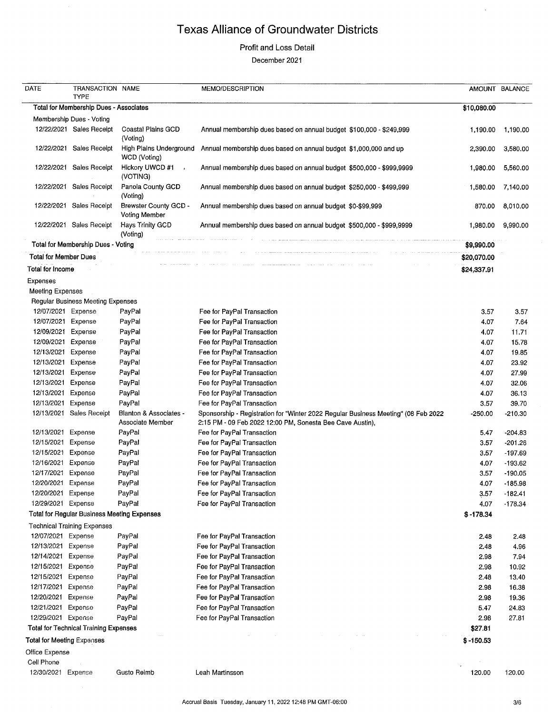### Profit and Loss Detail

December 2021

| DATE                              | TRANSACTION NAME                             |                                            | MEMO/DESCRIPTION                                                                                                                                |             | AMOUNT BALANCE |
|-----------------------------------|----------------------------------------------|--------------------------------------------|-------------------------------------------------------------------------------------------------------------------------------------------------|-------------|----------------|
|                                   | <b>TYPE</b>                                  |                                            |                                                                                                                                                 |             |                |
|                                   | Total for Membership Dues - Associates       |                                            |                                                                                                                                                 | \$10,080.00 |                |
|                                   | Membership Dues - Voting                     |                                            |                                                                                                                                                 |             |                |
|                                   | 12/22/2021 Sales Receipt                     | Coastal Plains GCD<br>(Votina)             | Annual membership dues based on annual budget \$100,000 - \$249,999                                                                             | 1,190.00    | 1,190.00       |
|                                   | 12/22/2021 Sales Receipt                     | WCD (Voting)                               | High Plains Underground Annual membership dues based on annual budget \$1,000,000 and up                                                        | 2,390.00    | 3,580.00       |
|                                   | 12/22/2021 Sales Receipt                     | Hickory UWCD #1<br>(VOTING)                | Annual membership dues based on annual budget \$500,000 - \$999,9999                                                                            | 1,980.00    | 5,560.00       |
| 12/22/2021                        | Sales Receipt                                | Panola County GCD                          | Annual membership dues based on annual budget \$250,000 - \$499,999                                                                             | 1,580.00    | 7,140.00       |
|                                   | 12/22/2021 Sales Receipt                     | (Voting)<br>Brewster County GCD -          | Annual membership dues based on annual budget \$0-\$99,999                                                                                      | 870.00      | 8,010.00       |
|                                   | 12/22/2021 Sales Receipt                     | Voting Member<br>Hays Trinity GCD          | Annual membership dues based on annual budget \$500,000 - \$999,9999                                                                            | 1,980.00    | 9,990.00       |
|                                   |                                              | (Voting)                                   |                                                                                                                                                 |             |                |
|                                   | Total for Membership Dues - Voting           |                                            |                                                                                                                                                 | \$9,990.00  |                |
| <b>Total for Member Dues</b>      |                                              |                                            |                                                                                                                                                 | \$20,070.00 |                |
| <b>Total for Income</b>           |                                              |                                            |                                                                                                                                                 | \$24,337.91 |                |
| Expenses                          |                                              |                                            |                                                                                                                                                 |             |                |
| <b>Meeting Expenses</b>           |                                              |                                            |                                                                                                                                                 |             |                |
|                                   | Regular Business Meeting Expenses            |                                            |                                                                                                                                                 |             |                |
| 12/07/2021 Expense                |                                              | PayPal                                     | Fee for PayPal Transaction                                                                                                                      | 3.57        | 3.57           |
| 12/07/2021 Expense                |                                              | PayPal                                     | Fee for PayPal Transaction                                                                                                                      | 4.07        | 7.64           |
| 12/09/2021 Expense                |                                              | PayPal                                     | Fee for PayPal Transaction                                                                                                                      | 4.07        | 11.71          |
| 12/09/2021 Expense                |                                              | PayPal                                     | Fee for PayPal Transaction                                                                                                                      | 4.07        | 15.78          |
| 12/13/2021                        | Expense                                      | PayPal                                     | Fee for PayPal Transaction                                                                                                                      | 4.07        | 19.85          |
| 12/13/2021                        | Expense                                      | PayPal                                     | Fee for PayPal Transaction                                                                                                                      | 4.07        | 23.92          |
| 12/13/2021                        | Expense                                      | PayPal                                     | Fee for PayPal Transaction                                                                                                                      | 4.07        | 27.99          |
| 12/13/2021                        | Expense                                      | PayPal                                     | Fee for PayPal Transaction                                                                                                                      | 4.07        | 32.06          |
| 12/13/2021                        | Expense                                      | PayPal                                     | Fee for PayPal Transaction                                                                                                                      | 4.07        | 36.13          |
| 12/13/2021                        | Expense                                      | PayPal                                     | Fee for PayPal Transaction                                                                                                                      | 3.57        | 39,70          |
|                                   | 12/13/2021 Sales Receipt                     | Blanton & Associates -<br>Associate Member | Sponsorship - Registration for "Winter 2022 Regular Business Meeting" (08 Feb 2022<br>2:15 PM - 09 Feb 2022 12:00 PM, Sonesta Bee Cave Austin), | -250.00     | -210.30        |
| 12/13/2021                        | Expense                                      | PayPal                                     | Fee for PayPal Transaction                                                                                                                      | 5.47        | $-204.83$      |
| 12/15/2021                        | Expense                                      | PayPal                                     | Fee for PayPal Transaction                                                                                                                      | 3.57        | -201.26        |
| 12/15/2021                        | Expense                                      | PayPal                                     | Fee for PayPal Transaction                                                                                                                      | 3.57        | $-197.69$      |
| 12/16/2021 Expense                |                                              | PayPal                                     | Fee for PayPal Transaction                                                                                                                      | 4.07        | $-193.62$      |
| 12/17/2021 Expense                |                                              | PayPal                                     | Fee for PayPal Transaction                                                                                                                      | 3.57        | $-190.05$      |
| 12/20/2021 Expense                |                                              | PayPal                                     | Fee for PayPal Transaction                                                                                                                      | 4.07        | $-185.98$      |
| 12/20/2021 Expense                |                                              | PayPal                                     | Fee for PayPal Transaction                                                                                                                      | 3.57        | $-182.41$      |
| 12/29/2021 Expense                |                                              | PayPal                                     | Fee for PayPal Transaction                                                                                                                      | 4.07        | $-178.34$      |
|                                   | Total for Regular Business Meeting Expenses  |                                            |                                                                                                                                                 | $$ -178.34$ |                |
|                                   | <b>Technical Training Expenses</b>           |                                            |                                                                                                                                                 |             |                |
| 12/07/2021 Expense                |                                              | PayPal                                     | Fee for PayPal Transaction                                                                                                                      | 2.48        | 2.48           |
| 12/13/2021 Expense                |                                              | PayPal                                     | Fee for PayPal Transaction                                                                                                                      | 2.48        | 4.96           |
| 12/14/2021 Expense                |                                              | PayPal                                     | Fee for PayPal Transaction                                                                                                                      | 2.98        | 7.94           |
| 12/15/2021                        | Expense                                      | PayPal                                     | Fee for PayPal Transaction                                                                                                                      | 2.98        | 10.92          |
| 12/15/2021                        | Expense                                      | PayPal                                     | Fee for PayPal Transaction                                                                                                                      | 2.48        | 13.40          |
| 12/17/2021                        | Expense                                      | PayPal                                     | Fee for PayPal Transaction                                                                                                                      | 2.98        | 16.38          |
| 12/20/2021                        | Expense                                      | PayPal                                     | Fee for PayPal Transaction                                                                                                                      | 2.98        | 19.36          |
|                                   |                                              |                                            |                                                                                                                                                 |             |                |
| 12/21/2021<br>12/29/2021 Expense  | Expense                                      | PayPal<br>PayPal                           | Fee for PayPal Transaction                                                                                                                      | 5.47        | 24.83          |
|                                   |                                              |                                            | Fee for PayPal Transaction                                                                                                                      | 2.98        | 27.81          |
|                                   | <b>Total for Technical Training Expenses</b> |                                            |                                                                                                                                                 | \$27.81     |                |
| <b>Total for Meeting Expenses</b> |                                              |                                            |                                                                                                                                                 | $$ -150.53$ |                |
| Office Expense                    |                                              |                                            |                                                                                                                                                 |             |                |
| Cell Phone                        |                                              |                                            |                                                                                                                                                 |             |                |
| 12/30/2021 Expense                |                                              | Gusto Reimb                                | Leah Martinsson                                                                                                                                 | 120.00      | 120,00         |

 $\bar{\mathcal{A}}$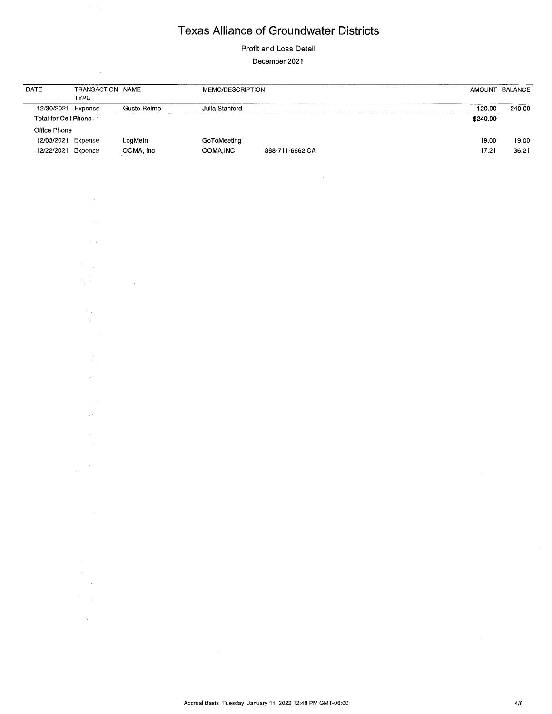$\frac{1}{\sqrt{2}}$ 

Profit and Loss Detail

December 2021

| DATE                                                     | TRANSACTION NAME<br>TYPE                                                                                                                                                                                                                                                                                                                                                                                                                                |                      | MEMO/DESCRIPTION         |                 |                    | AMOUNT BALANCE |
|----------------------------------------------------------|---------------------------------------------------------------------------------------------------------------------------------------------------------------------------------------------------------------------------------------------------------------------------------------------------------------------------------------------------------------------------------------------------------------------------------------------------------|----------------------|--------------------------|-----------------|--------------------|----------------|
| 12/30/2021 Expense<br>Total for Cell Phone               |                                                                                                                                                                                                                                                                                                                                                                                                                                                         | Gusto Reimb          | Julia Stanford           |                 | 120.00<br>\$240.00 | 240.00         |
| Office Phone<br>12/03/2021 Expense<br>12/22/2021 Expense |                                                                                                                                                                                                                                                                                                                                                                                                                                                         | LogMeln<br>OOMA, Inc | GoToMeeting<br>OOMA, INC | 888-711-6662 CA | 19.00<br>17.21     | 19.00<br>36,21 |
|                                                          |                                                                                                                                                                                                                                                                                                                                                                                                                                                         |                      |                          |                 |                    |                |
|                                                          |                                                                                                                                                                                                                                                                                                                                                                                                                                                         |                      |                          |                 |                    |                |
|                                                          |                                                                                                                                                                                                                                                                                                                                                                                                                                                         |                      |                          |                 |                    |                |
|                                                          |                                                                                                                                                                                                                                                                                                                                                                                                                                                         |                      |                          |                 |                    |                |
|                                                          |                                                                                                                                                                                                                                                                                                                                                                                                                                                         |                      |                          |                 |                    |                |
|                                                          |                                                                                                                                                                                                                                                                                                                                                                                                                                                         |                      |                          |                 |                    |                |
|                                                          |                                                                                                                                                                                                                                                                                                                                                                                                                                                         |                      |                          |                 |                    |                |
|                                                          |                                                                                                                                                                                                                                                                                                                                                                                                                                                         |                      |                          |                 |                    |                |
|                                                          |                                                                                                                                                                                                                                                                                                                                                                                                                                                         |                      |                          |                 |                    |                |
|                                                          |                                                                                                                                                                                                                                                                                                                                                                                                                                                         |                      |                          |                 |                    |                |
|                                                          |                                                                                                                                                                                                                                                                                                                                                                                                                                                         |                      |                          |                 |                    |                |
|                                                          |                                                                                                                                                                                                                                                                                                                                                                                                                                                         |                      |                          |                 |                    |                |
|                                                          |                                                                                                                                                                                                                                                                                                                                                                                                                                                         |                      |                          |                 |                    |                |
|                                                          |                                                                                                                                                                                                                                                                                                                                                                                                                                                         |                      |                          |                 |                    |                |
|                                                          | in Pol                                                                                                                                                                                                                                                                                                                                                                                                                                                  |                      |                          |                 |                    |                |
|                                                          | $\label{eq:2.1} \frac{1}{\sqrt{2}}\sum_{i=1}^n\frac{1}{\sqrt{2}}\sum_{i=1}^n\frac{1}{\sqrt{2}}\sum_{i=1}^n\frac{1}{\sqrt{2}}\sum_{i=1}^n\frac{1}{\sqrt{2}}\sum_{i=1}^n\frac{1}{\sqrt{2}}\sum_{i=1}^n\frac{1}{\sqrt{2}}\sum_{i=1}^n\frac{1}{\sqrt{2}}\sum_{i=1}^n\frac{1}{\sqrt{2}}\sum_{i=1}^n\frac{1}{\sqrt{2}}\sum_{i=1}^n\frac{1}{\sqrt{2}}\sum_{i=1}^n\frac$<br>$\mathcal{L}^{\text{max}}_{\text{max}}$ and $\mathcal{L}^{\text{max}}_{\text{max}}$ |                      |                          |                 |                    |                |
|                                                          |                                                                                                                                                                                                                                                                                                                                                                                                                                                         |                      |                          |                 |                    |                |
|                                                          |                                                                                                                                                                                                                                                                                                                                                                                                                                                         |                      |                          |                 |                    |                |
|                                                          |                                                                                                                                                                                                                                                                                                                                                                                                                                                         |                      |                          |                 |                    |                |
|                                                          |                                                                                                                                                                                                                                                                                                                                                                                                                                                         |                      |                          |                 |                    |                |
|                                                          | $\mathcal{L}^{\text{max}}_{\text{max}}$ and $\mathcal{L}^{\text{max}}_{\text{max}}$                                                                                                                                                                                                                                                                                                                                                                     |                      |                          |                 |                    |                |

 $\alpha$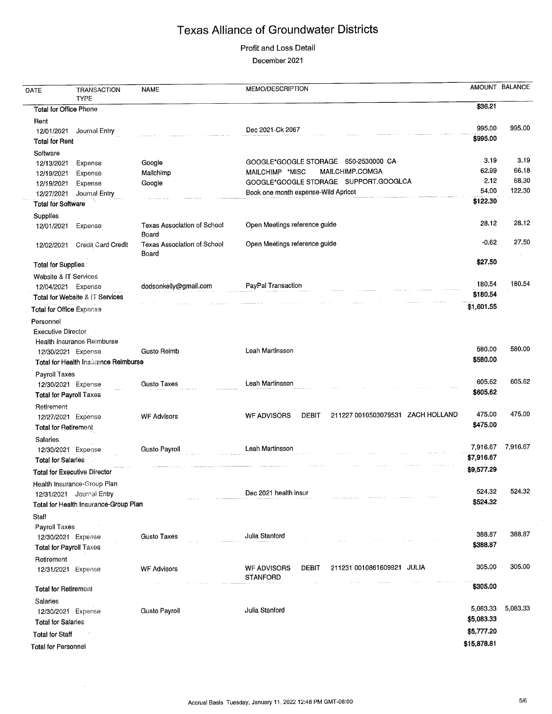# Profit and Loss Detail

December 2021

| \$36.21<br><b>Total for Office Phone</b><br>Rent<br>995.00<br>995.00<br>Dec 2021-Ck 2067<br>12/01/2021<br>Journal Entry<br>\$995.00<br><b>Total for Rent</b><br>Software<br>3.19<br>3.19<br>GOOGLE*GOOGLE STORAGE 650-2530000 CA<br>Google<br>12/13/2021<br>Expense<br>62.99<br>66.18<br>MAILCHIMP.COMGA<br>MAILCHIMP *MISC<br>Mailchimp<br>12/19/2021<br>Expense<br>68.30<br>2.12<br>GOOGLE*GOOGLE STORAGE SUPPORT.GOOGLCA<br>Google<br>Expense<br>12/19/2021<br>122.30<br>54.00<br>Book one month expense-Wild Apricot<br>Journal Entry<br>12/27/2021<br>\$122.30<br><b>Total for Software</b><br>Supplies<br>28.12<br>28.12<br>Open Meetings reference guide<br><b>Texas Association of School</b><br>12/01/2021<br>Expense<br>Board<br>27.50<br>$-0.62$<br>Open Meetings reference guide<br><b>Texas Association of School</b><br>Credit Card Credit<br>12/02/2021<br>Board<br>\$27.50<br><b>Total for Supplies</b><br><b>Website &amp; IT Services</b><br>180,54<br>180.54<br>PayPal Transaction<br>dodsonkelly@gmail.com<br>12/04/2021 Expense<br>\$180.54<br>Total for Website & IT Services<br>\$1,601.55<br>Total for Office Expense<br>Personnel<br><b>Executive Director</b><br>Health Insurance Reimburse<br>580.00<br>580.00<br>Leah Martinsson<br><b>Gusto Reimb</b><br>12/30/2021 Expense<br>\$580.00<br>Total for Health Insurance Reimburse<br>Payroll Taxes<br>605.62<br>605.62<br>Leah Martinsson<br><b>Gusto Taxes</b><br>12/30/2021 Expense<br>\$605.62<br><b>Total for Payroll Taxes</b><br>Retirement<br>475.00<br>475.00<br>211227 0010503079531 ZACH HOLLAND<br><b>DEBIT</b><br><b>WF ADVISORS</b><br><b>WF Advisors</b><br>12/27/2021 Expense<br>\$475.00<br>Total for Retirement<br>Salaries<br>7,916.67<br>7,916.67<br>Leah Martinsson<br>Gusto Payroll<br>12/30/2021 Expense<br>\$7,916.67<br><b>Total for Salaries</b><br>\$9,577.29<br><b>Total for Executive Director</b><br>Health Insurance-Group Plan<br>524.32<br>524.32<br>Dec 2021 health insur<br>12/31/2021 Journal Entry<br>\$524.32<br>Total for Health Insurance-Group Plan<br>Staff<br>Payroll Taxes<br>388.87<br>388.87<br>Julia Stanford<br><b>Gusto Taxes</b><br>12/30/2021 Expense<br>\$388.87<br>Total for Payroll Taxes<br>Retirement<br>305.00<br>305.00<br>211231 0010861609921 JULIA<br>DEBIT<br><b>WF ADVISORS</b><br><b>WF Advisors</b><br>12/31/2021 Expense<br><b>STANFORD</b><br>\$305.00<br><b>Total for Retirement</b><br>Salaries<br>5,083.33<br>5,083.33<br>Julia Stanford<br>Gusto Payroll<br>12/30/2021 Expense<br>\$5,083.33<br><b>Total for Salaries</b><br>\$5,777.20<br><b>Total for Staff</b><br>\$15,878.81<br><b>Total for Personnel</b> | DATE | TRANSACTION<br>TYPE | <b>NAME</b> | MEMO/DESCRIPTION | AMOUNT BALANCE |
|-----------------------------------------------------------------------------------------------------------------------------------------------------------------------------------------------------------------------------------------------------------------------------------------------------------------------------------------------------------------------------------------------------------------------------------------------------------------------------------------------------------------------------------------------------------------------------------------------------------------------------------------------------------------------------------------------------------------------------------------------------------------------------------------------------------------------------------------------------------------------------------------------------------------------------------------------------------------------------------------------------------------------------------------------------------------------------------------------------------------------------------------------------------------------------------------------------------------------------------------------------------------------------------------------------------------------------------------------------------------------------------------------------------------------------------------------------------------------------------------------------------------------------------------------------------------------------------------------------------------------------------------------------------------------------------------------------------------------------------------------------------------------------------------------------------------------------------------------------------------------------------------------------------------------------------------------------------------------------------------------------------------------------------------------------------------------------------------------------------------------------------------------------------------------------------------------------------------------------------------------------------------------------------------------------------------------------------------------------------------------------------------------------------------------------------------------------------------------------------------------------------------------------------------------------------------------------------------------------------------------------------------------------------------|------|---------------------|-------------|------------------|----------------|
|                                                                                                                                                                                                                                                                                                                                                                                                                                                                                                                                                                                                                                                                                                                                                                                                                                                                                                                                                                                                                                                                                                                                                                                                                                                                                                                                                                                                                                                                                                                                                                                                                                                                                                                                                                                                                                                                                                                                                                                                                                                                                                                                                                                                                                                                                                                                                                                                                                                                                                                                                                                                                                                                 |      |                     |             |                  |                |
|                                                                                                                                                                                                                                                                                                                                                                                                                                                                                                                                                                                                                                                                                                                                                                                                                                                                                                                                                                                                                                                                                                                                                                                                                                                                                                                                                                                                                                                                                                                                                                                                                                                                                                                                                                                                                                                                                                                                                                                                                                                                                                                                                                                                                                                                                                                                                                                                                                                                                                                                                                                                                                                                 |      |                     |             |                  |                |
|                                                                                                                                                                                                                                                                                                                                                                                                                                                                                                                                                                                                                                                                                                                                                                                                                                                                                                                                                                                                                                                                                                                                                                                                                                                                                                                                                                                                                                                                                                                                                                                                                                                                                                                                                                                                                                                                                                                                                                                                                                                                                                                                                                                                                                                                                                                                                                                                                                                                                                                                                                                                                                                                 |      |                     |             |                  |                |
|                                                                                                                                                                                                                                                                                                                                                                                                                                                                                                                                                                                                                                                                                                                                                                                                                                                                                                                                                                                                                                                                                                                                                                                                                                                                                                                                                                                                                                                                                                                                                                                                                                                                                                                                                                                                                                                                                                                                                                                                                                                                                                                                                                                                                                                                                                                                                                                                                                                                                                                                                                                                                                                                 |      |                     |             |                  |                |
|                                                                                                                                                                                                                                                                                                                                                                                                                                                                                                                                                                                                                                                                                                                                                                                                                                                                                                                                                                                                                                                                                                                                                                                                                                                                                                                                                                                                                                                                                                                                                                                                                                                                                                                                                                                                                                                                                                                                                                                                                                                                                                                                                                                                                                                                                                                                                                                                                                                                                                                                                                                                                                                                 |      |                     |             |                  |                |
|                                                                                                                                                                                                                                                                                                                                                                                                                                                                                                                                                                                                                                                                                                                                                                                                                                                                                                                                                                                                                                                                                                                                                                                                                                                                                                                                                                                                                                                                                                                                                                                                                                                                                                                                                                                                                                                                                                                                                                                                                                                                                                                                                                                                                                                                                                                                                                                                                                                                                                                                                                                                                                                                 |      |                     |             |                  |                |
|                                                                                                                                                                                                                                                                                                                                                                                                                                                                                                                                                                                                                                                                                                                                                                                                                                                                                                                                                                                                                                                                                                                                                                                                                                                                                                                                                                                                                                                                                                                                                                                                                                                                                                                                                                                                                                                                                                                                                                                                                                                                                                                                                                                                                                                                                                                                                                                                                                                                                                                                                                                                                                                                 |      |                     |             |                  |                |
|                                                                                                                                                                                                                                                                                                                                                                                                                                                                                                                                                                                                                                                                                                                                                                                                                                                                                                                                                                                                                                                                                                                                                                                                                                                                                                                                                                                                                                                                                                                                                                                                                                                                                                                                                                                                                                                                                                                                                                                                                                                                                                                                                                                                                                                                                                                                                                                                                                                                                                                                                                                                                                                                 |      |                     |             |                  |                |
|                                                                                                                                                                                                                                                                                                                                                                                                                                                                                                                                                                                                                                                                                                                                                                                                                                                                                                                                                                                                                                                                                                                                                                                                                                                                                                                                                                                                                                                                                                                                                                                                                                                                                                                                                                                                                                                                                                                                                                                                                                                                                                                                                                                                                                                                                                                                                                                                                                                                                                                                                                                                                                                                 |      |                     |             |                  |                |
|                                                                                                                                                                                                                                                                                                                                                                                                                                                                                                                                                                                                                                                                                                                                                                                                                                                                                                                                                                                                                                                                                                                                                                                                                                                                                                                                                                                                                                                                                                                                                                                                                                                                                                                                                                                                                                                                                                                                                                                                                                                                                                                                                                                                                                                                                                                                                                                                                                                                                                                                                                                                                                                                 |      |                     |             |                  |                |
|                                                                                                                                                                                                                                                                                                                                                                                                                                                                                                                                                                                                                                                                                                                                                                                                                                                                                                                                                                                                                                                                                                                                                                                                                                                                                                                                                                                                                                                                                                                                                                                                                                                                                                                                                                                                                                                                                                                                                                                                                                                                                                                                                                                                                                                                                                                                                                                                                                                                                                                                                                                                                                                                 |      |                     |             |                  |                |
|                                                                                                                                                                                                                                                                                                                                                                                                                                                                                                                                                                                                                                                                                                                                                                                                                                                                                                                                                                                                                                                                                                                                                                                                                                                                                                                                                                                                                                                                                                                                                                                                                                                                                                                                                                                                                                                                                                                                                                                                                                                                                                                                                                                                                                                                                                                                                                                                                                                                                                                                                                                                                                                                 |      |                     |             |                  |                |
|                                                                                                                                                                                                                                                                                                                                                                                                                                                                                                                                                                                                                                                                                                                                                                                                                                                                                                                                                                                                                                                                                                                                                                                                                                                                                                                                                                                                                                                                                                                                                                                                                                                                                                                                                                                                                                                                                                                                                                                                                                                                                                                                                                                                                                                                                                                                                                                                                                                                                                                                                                                                                                                                 |      |                     |             |                  |                |
|                                                                                                                                                                                                                                                                                                                                                                                                                                                                                                                                                                                                                                                                                                                                                                                                                                                                                                                                                                                                                                                                                                                                                                                                                                                                                                                                                                                                                                                                                                                                                                                                                                                                                                                                                                                                                                                                                                                                                                                                                                                                                                                                                                                                                                                                                                                                                                                                                                                                                                                                                                                                                                                                 |      |                     |             |                  |                |
|                                                                                                                                                                                                                                                                                                                                                                                                                                                                                                                                                                                                                                                                                                                                                                                                                                                                                                                                                                                                                                                                                                                                                                                                                                                                                                                                                                                                                                                                                                                                                                                                                                                                                                                                                                                                                                                                                                                                                                                                                                                                                                                                                                                                                                                                                                                                                                                                                                                                                                                                                                                                                                                                 |      |                     |             |                  |                |
|                                                                                                                                                                                                                                                                                                                                                                                                                                                                                                                                                                                                                                                                                                                                                                                                                                                                                                                                                                                                                                                                                                                                                                                                                                                                                                                                                                                                                                                                                                                                                                                                                                                                                                                                                                                                                                                                                                                                                                                                                                                                                                                                                                                                                                                                                                                                                                                                                                                                                                                                                                                                                                                                 |      |                     |             |                  |                |
|                                                                                                                                                                                                                                                                                                                                                                                                                                                                                                                                                                                                                                                                                                                                                                                                                                                                                                                                                                                                                                                                                                                                                                                                                                                                                                                                                                                                                                                                                                                                                                                                                                                                                                                                                                                                                                                                                                                                                                                                                                                                                                                                                                                                                                                                                                                                                                                                                                                                                                                                                                                                                                                                 |      |                     |             |                  |                |
|                                                                                                                                                                                                                                                                                                                                                                                                                                                                                                                                                                                                                                                                                                                                                                                                                                                                                                                                                                                                                                                                                                                                                                                                                                                                                                                                                                                                                                                                                                                                                                                                                                                                                                                                                                                                                                                                                                                                                                                                                                                                                                                                                                                                                                                                                                                                                                                                                                                                                                                                                                                                                                                                 |      |                     |             |                  |                |
|                                                                                                                                                                                                                                                                                                                                                                                                                                                                                                                                                                                                                                                                                                                                                                                                                                                                                                                                                                                                                                                                                                                                                                                                                                                                                                                                                                                                                                                                                                                                                                                                                                                                                                                                                                                                                                                                                                                                                                                                                                                                                                                                                                                                                                                                                                                                                                                                                                                                                                                                                                                                                                                                 |      |                     |             |                  |                |
|                                                                                                                                                                                                                                                                                                                                                                                                                                                                                                                                                                                                                                                                                                                                                                                                                                                                                                                                                                                                                                                                                                                                                                                                                                                                                                                                                                                                                                                                                                                                                                                                                                                                                                                                                                                                                                                                                                                                                                                                                                                                                                                                                                                                                                                                                                                                                                                                                                                                                                                                                                                                                                                                 |      |                     |             |                  |                |
|                                                                                                                                                                                                                                                                                                                                                                                                                                                                                                                                                                                                                                                                                                                                                                                                                                                                                                                                                                                                                                                                                                                                                                                                                                                                                                                                                                                                                                                                                                                                                                                                                                                                                                                                                                                                                                                                                                                                                                                                                                                                                                                                                                                                                                                                                                                                                                                                                                                                                                                                                                                                                                                                 |      |                     |             |                  |                |
|                                                                                                                                                                                                                                                                                                                                                                                                                                                                                                                                                                                                                                                                                                                                                                                                                                                                                                                                                                                                                                                                                                                                                                                                                                                                                                                                                                                                                                                                                                                                                                                                                                                                                                                                                                                                                                                                                                                                                                                                                                                                                                                                                                                                                                                                                                                                                                                                                                                                                                                                                                                                                                                                 |      |                     |             |                  |                |
|                                                                                                                                                                                                                                                                                                                                                                                                                                                                                                                                                                                                                                                                                                                                                                                                                                                                                                                                                                                                                                                                                                                                                                                                                                                                                                                                                                                                                                                                                                                                                                                                                                                                                                                                                                                                                                                                                                                                                                                                                                                                                                                                                                                                                                                                                                                                                                                                                                                                                                                                                                                                                                                                 |      |                     |             |                  |                |
|                                                                                                                                                                                                                                                                                                                                                                                                                                                                                                                                                                                                                                                                                                                                                                                                                                                                                                                                                                                                                                                                                                                                                                                                                                                                                                                                                                                                                                                                                                                                                                                                                                                                                                                                                                                                                                                                                                                                                                                                                                                                                                                                                                                                                                                                                                                                                                                                                                                                                                                                                                                                                                                                 |      |                     |             |                  |                |
|                                                                                                                                                                                                                                                                                                                                                                                                                                                                                                                                                                                                                                                                                                                                                                                                                                                                                                                                                                                                                                                                                                                                                                                                                                                                                                                                                                                                                                                                                                                                                                                                                                                                                                                                                                                                                                                                                                                                                                                                                                                                                                                                                                                                                                                                                                                                                                                                                                                                                                                                                                                                                                                                 |      |                     |             |                  |                |
|                                                                                                                                                                                                                                                                                                                                                                                                                                                                                                                                                                                                                                                                                                                                                                                                                                                                                                                                                                                                                                                                                                                                                                                                                                                                                                                                                                                                                                                                                                                                                                                                                                                                                                                                                                                                                                                                                                                                                                                                                                                                                                                                                                                                                                                                                                                                                                                                                                                                                                                                                                                                                                                                 |      |                     |             |                  |                |
|                                                                                                                                                                                                                                                                                                                                                                                                                                                                                                                                                                                                                                                                                                                                                                                                                                                                                                                                                                                                                                                                                                                                                                                                                                                                                                                                                                                                                                                                                                                                                                                                                                                                                                                                                                                                                                                                                                                                                                                                                                                                                                                                                                                                                                                                                                                                                                                                                                                                                                                                                                                                                                                                 |      |                     |             |                  |                |
|                                                                                                                                                                                                                                                                                                                                                                                                                                                                                                                                                                                                                                                                                                                                                                                                                                                                                                                                                                                                                                                                                                                                                                                                                                                                                                                                                                                                                                                                                                                                                                                                                                                                                                                                                                                                                                                                                                                                                                                                                                                                                                                                                                                                                                                                                                                                                                                                                                                                                                                                                                                                                                                                 |      |                     |             |                  |                |
|                                                                                                                                                                                                                                                                                                                                                                                                                                                                                                                                                                                                                                                                                                                                                                                                                                                                                                                                                                                                                                                                                                                                                                                                                                                                                                                                                                                                                                                                                                                                                                                                                                                                                                                                                                                                                                                                                                                                                                                                                                                                                                                                                                                                                                                                                                                                                                                                                                                                                                                                                                                                                                                                 |      |                     |             |                  |                |
|                                                                                                                                                                                                                                                                                                                                                                                                                                                                                                                                                                                                                                                                                                                                                                                                                                                                                                                                                                                                                                                                                                                                                                                                                                                                                                                                                                                                                                                                                                                                                                                                                                                                                                                                                                                                                                                                                                                                                                                                                                                                                                                                                                                                                                                                                                                                                                                                                                                                                                                                                                                                                                                                 |      |                     |             |                  |                |
|                                                                                                                                                                                                                                                                                                                                                                                                                                                                                                                                                                                                                                                                                                                                                                                                                                                                                                                                                                                                                                                                                                                                                                                                                                                                                                                                                                                                                                                                                                                                                                                                                                                                                                                                                                                                                                                                                                                                                                                                                                                                                                                                                                                                                                                                                                                                                                                                                                                                                                                                                                                                                                                                 |      |                     |             |                  |                |
|                                                                                                                                                                                                                                                                                                                                                                                                                                                                                                                                                                                                                                                                                                                                                                                                                                                                                                                                                                                                                                                                                                                                                                                                                                                                                                                                                                                                                                                                                                                                                                                                                                                                                                                                                                                                                                                                                                                                                                                                                                                                                                                                                                                                                                                                                                                                                                                                                                                                                                                                                                                                                                                                 |      |                     |             |                  |                |
|                                                                                                                                                                                                                                                                                                                                                                                                                                                                                                                                                                                                                                                                                                                                                                                                                                                                                                                                                                                                                                                                                                                                                                                                                                                                                                                                                                                                                                                                                                                                                                                                                                                                                                                                                                                                                                                                                                                                                                                                                                                                                                                                                                                                                                                                                                                                                                                                                                                                                                                                                                                                                                                                 |      |                     |             |                  |                |
|                                                                                                                                                                                                                                                                                                                                                                                                                                                                                                                                                                                                                                                                                                                                                                                                                                                                                                                                                                                                                                                                                                                                                                                                                                                                                                                                                                                                                                                                                                                                                                                                                                                                                                                                                                                                                                                                                                                                                                                                                                                                                                                                                                                                                                                                                                                                                                                                                                                                                                                                                                                                                                                                 |      |                     |             |                  |                |
|                                                                                                                                                                                                                                                                                                                                                                                                                                                                                                                                                                                                                                                                                                                                                                                                                                                                                                                                                                                                                                                                                                                                                                                                                                                                                                                                                                                                                                                                                                                                                                                                                                                                                                                                                                                                                                                                                                                                                                                                                                                                                                                                                                                                                                                                                                                                                                                                                                                                                                                                                                                                                                                                 |      |                     |             |                  |                |
|                                                                                                                                                                                                                                                                                                                                                                                                                                                                                                                                                                                                                                                                                                                                                                                                                                                                                                                                                                                                                                                                                                                                                                                                                                                                                                                                                                                                                                                                                                                                                                                                                                                                                                                                                                                                                                                                                                                                                                                                                                                                                                                                                                                                                                                                                                                                                                                                                                                                                                                                                                                                                                                                 |      |                     |             |                  |                |
|                                                                                                                                                                                                                                                                                                                                                                                                                                                                                                                                                                                                                                                                                                                                                                                                                                                                                                                                                                                                                                                                                                                                                                                                                                                                                                                                                                                                                                                                                                                                                                                                                                                                                                                                                                                                                                                                                                                                                                                                                                                                                                                                                                                                                                                                                                                                                                                                                                                                                                                                                                                                                                                                 |      |                     |             |                  |                |
|                                                                                                                                                                                                                                                                                                                                                                                                                                                                                                                                                                                                                                                                                                                                                                                                                                                                                                                                                                                                                                                                                                                                                                                                                                                                                                                                                                                                                                                                                                                                                                                                                                                                                                                                                                                                                                                                                                                                                                                                                                                                                                                                                                                                                                                                                                                                                                                                                                                                                                                                                                                                                                                                 |      |                     |             |                  |                |
|                                                                                                                                                                                                                                                                                                                                                                                                                                                                                                                                                                                                                                                                                                                                                                                                                                                                                                                                                                                                                                                                                                                                                                                                                                                                                                                                                                                                                                                                                                                                                                                                                                                                                                                                                                                                                                                                                                                                                                                                                                                                                                                                                                                                                                                                                                                                                                                                                                                                                                                                                                                                                                                                 |      |                     |             |                  |                |
|                                                                                                                                                                                                                                                                                                                                                                                                                                                                                                                                                                                                                                                                                                                                                                                                                                                                                                                                                                                                                                                                                                                                                                                                                                                                                                                                                                                                                                                                                                                                                                                                                                                                                                                                                                                                                                                                                                                                                                                                                                                                                                                                                                                                                                                                                                                                                                                                                                                                                                                                                                                                                                                                 |      |                     |             |                  |                |
|                                                                                                                                                                                                                                                                                                                                                                                                                                                                                                                                                                                                                                                                                                                                                                                                                                                                                                                                                                                                                                                                                                                                                                                                                                                                                                                                                                                                                                                                                                                                                                                                                                                                                                                                                                                                                                                                                                                                                                                                                                                                                                                                                                                                                                                                                                                                                                                                                                                                                                                                                                                                                                                                 |      |                     |             |                  |                |
|                                                                                                                                                                                                                                                                                                                                                                                                                                                                                                                                                                                                                                                                                                                                                                                                                                                                                                                                                                                                                                                                                                                                                                                                                                                                                                                                                                                                                                                                                                                                                                                                                                                                                                                                                                                                                                                                                                                                                                                                                                                                                                                                                                                                                                                                                                                                                                                                                                                                                                                                                                                                                                                                 |      |                     |             |                  |                |
|                                                                                                                                                                                                                                                                                                                                                                                                                                                                                                                                                                                                                                                                                                                                                                                                                                                                                                                                                                                                                                                                                                                                                                                                                                                                                                                                                                                                                                                                                                                                                                                                                                                                                                                                                                                                                                                                                                                                                                                                                                                                                                                                                                                                                                                                                                                                                                                                                                                                                                                                                                                                                                                                 |      |                     |             |                  |                |
|                                                                                                                                                                                                                                                                                                                                                                                                                                                                                                                                                                                                                                                                                                                                                                                                                                                                                                                                                                                                                                                                                                                                                                                                                                                                                                                                                                                                                                                                                                                                                                                                                                                                                                                                                                                                                                                                                                                                                                                                                                                                                                                                                                                                                                                                                                                                                                                                                                                                                                                                                                                                                                                                 |      |                     |             |                  |                |
|                                                                                                                                                                                                                                                                                                                                                                                                                                                                                                                                                                                                                                                                                                                                                                                                                                                                                                                                                                                                                                                                                                                                                                                                                                                                                                                                                                                                                                                                                                                                                                                                                                                                                                                                                                                                                                                                                                                                                                                                                                                                                                                                                                                                                                                                                                                                                                                                                                                                                                                                                                                                                                                                 |      |                     |             |                  |                |
|                                                                                                                                                                                                                                                                                                                                                                                                                                                                                                                                                                                                                                                                                                                                                                                                                                                                                                                                                                                                                                                                                                                                                                                                                                                                                                                                                                                                                                                                                                                                                                                                                                                                                                                                                                                                                                                                                                                                                                                                                                                                                                                                                                                                                                                                                                                                                                                                                                                                                                                                                                                                                                                                 |      |                     |             |                  |                |
|                                                                                                                                                                                                                                                                                                                                                                                                                                                                                                                                                                                                                                                                                                                                                                                                                                                                                                                                                                                                                                                                                                                                                                                                                                                                                                                                                                                                                                                                                                                                                                                                                                                                                                                                                                                                                                                                                                                                                                                                                                                                                                                                                                                                                                                                                                                                                                                                                                                                                                                                                                                                                                                                 |      |                     |             |                  |                |
|                                                                                                                                                                                                                                                                                                                                                                                                                                                                                                                                                                                                                                                                                                                                                                                                                                                                                                                                                                                                                                                                                                                                                                                                                                                                                                                                                                                                                                                                                                                                                                                                                                                                                                                                                                                                                                                                                                                                                                                                                                                                                                                                                                                                                                                                                                                                                                                                                                                                                                                                                                                                                                                                 |      |                     |             |                  |                |

 $\bar{\nu}$